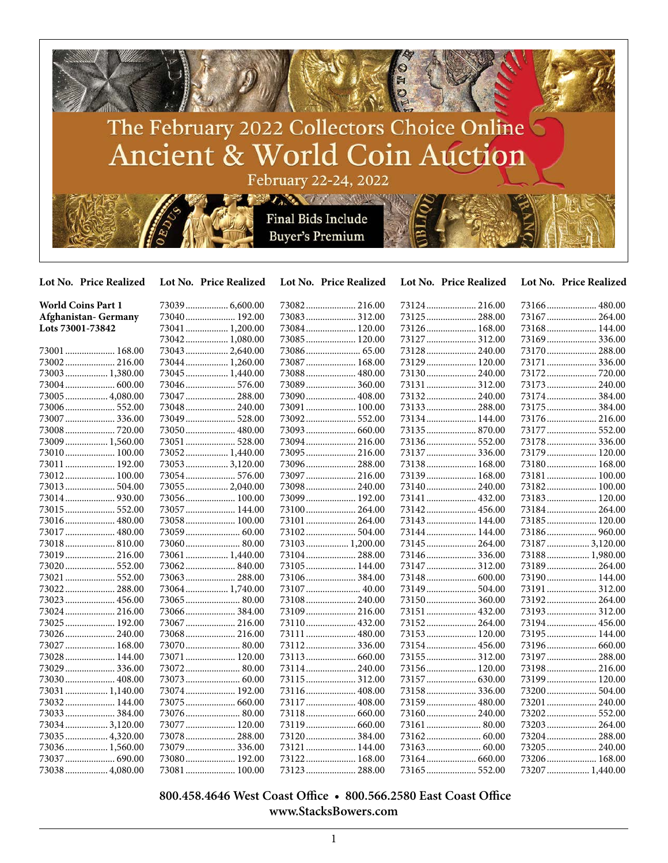

| Lot No. Price Realized    | Lot No. Price Realized | Lot No. Price Realized | Lot No. Price Realized | Lot No. Price Realized |
|---------------------------|------------------------|------------------------|------------------------|------------------------|
| <b>World Coins Part 1</b> | 73039 6,600.00         |                        |                        |                        |
| Afghanistan- Germany      | 73040 192.00           | 73083 312.00           | 73125  288.00          | 73167 264.00           |
| Lots 73001-73842          | 73041  1,200.00        | 73084 120.00           | 73126 168.00           | 73168 144.00           |
|                           | 73042 1,080.00         | 73085 120.00           | 73127  312.00          | 73169336.00            |
| 73001  168.00             | 73043 2,640.00         |                        | 73128 240.00           | 73170 288.00           |
| 73002 216.00              | 73044 1,260.00         | 73087  168.00          | 73129 120.00           | 73171  336.00          |
| 73003  1,380.00           | 73045 1,440.00         | 73088  480.00          | 73130 240.00           |                        |
|                           | 73046 576.00           | 73089 360.00           | 73131 312.00           | 73173  240.00          |
| 73005  4,080.00           | 73047  288.00          | 73090 408.00           |                        | 73174 384.00           |
|                           | 73048 240.00           | 73091  100.00          | 73133 288.00           | 73175  384.00          |
| 73007  336.00             | 73049 528.00           | 73092 552.00           | 73134 144.00           | 73176 216.00           |
|                           | 73050 480.00           | 73093  660.00          | 73135 870.00           | 73177  552.00          |
| 73009  1,560.00           | 73051  528.00          | 73094 216.00           | 73136 552.00           | 73178  336.00          |
| 73010 100.00              | 73052 1,440.00         | 73095 216.00           | 73137 336.00           | 73179  120.00          |
| 73011  192.00             | 73053 3,120.00         | 73096 288.00           | 73138 168.00           | 73180 168.00           |
| 73012 100.00              | 73054 576.00           | 73097 216.00           | 73139 168.00           | 73181 100.00           |
| 73013  504.00             | 73055 2,040.00         | 73098 240.00           | 73140 240.00           | 73182 100.00           |
|                           | 73056 100.00           | 73099 192.00           | 73141  432.00          | 73183 120.00           |
|                           | 73057  144.00          |                        | 73142 456.00           | 73184 264.00           |
| 73016  480.00             | 73058 100.00           | 73101  264.00          | 73143  144.00          | 73185 120.00           |
| 73017  480.00             |                        | 73102 504.00           | 73144 144.00           | 73186 960.00           |
| 73018 810.00              | 73060 80.00            | 73103 1,200.00         | 73145  264.00          | 73187  3,120.00        |
| 73019 216.00              | 73061  1,440.00        | 73104 288.00           | 73146  336.00          | 73188 1,980.00         |
| 73020 552.00              | 73062840.00            | 73105 144.00           | 73147  312.00          | 73189 264.00           |
| 73021  552.00             | 73063 288.00           | 73106384.00            | 73148  600.00          | 73190 144.00           |
| 73022 288.00              | 73064 1,740.00         | 73107  40.00           | 73149  504.00          | 73191  312.00          |
| 73023 456.00              |                        | 73108 240.00           | 73150 360.00           | 73192 264.00           |
| 73024  216.00             | 73066384.00            | 73109 216.00           | 73151  432.00          | 73193 312.00           |
| 73025 192.00              | 73067 216.00           | 73110 432.00           | 73152 264.00           | 73194 456.00           |
| 73026  240.00             | 73068 216.00           | 73111  480.00          | 73153 120.00           | 73195 144.00           |
| 73027  168.00             |                        | 73112 336.00           | 73154 456.00           |                        |
| 73028  144.00             | 73071 120.00           |                        | 73155  312.00          | 73197 288.00           |
| 73029  336.00             | 73072 80.00            | 73114 240.00           | 73156 120.00           | 73198 216.00           |
| 73030 408.00              | 73073 60.00            | 73115 312.00           | 73157  630.00          | 73199 120.00           |
| 73031  1,140.00           | 73074 192.00           | 73116 408.00           | 73158 336.00           | 73200 504.00           |
| 73032 144.00              |                        | 73117  408.00          | 73159  480.00          | 73201  240.00          |
| 73033 384.00              | 73076 80.00            |                        | 73160 240.00           | 73202 552.00           |
| 73034 3,120.00            | 73077  120.00          |                        |                        | 73203  264.00          |
| 73035  4,320.00           | 73078 288.00           | 73120 384.00           |                        | 73204 288.00           |
| 73036 1,560.00            | 73079 336.00           | 73121  144.00          |                        | 73205 240.00           |
| 73037  690.00             | 73080 192.00           | 73122 168.00           |                        | 73206 168.00           |
| 73038 4,080.00            | 73081 100.00           |                        |                        | 73207  1,440.00        |

 **800.458.4646 West Coast Office • 800.566.2580 East Coast Office www.StacksBowers.com**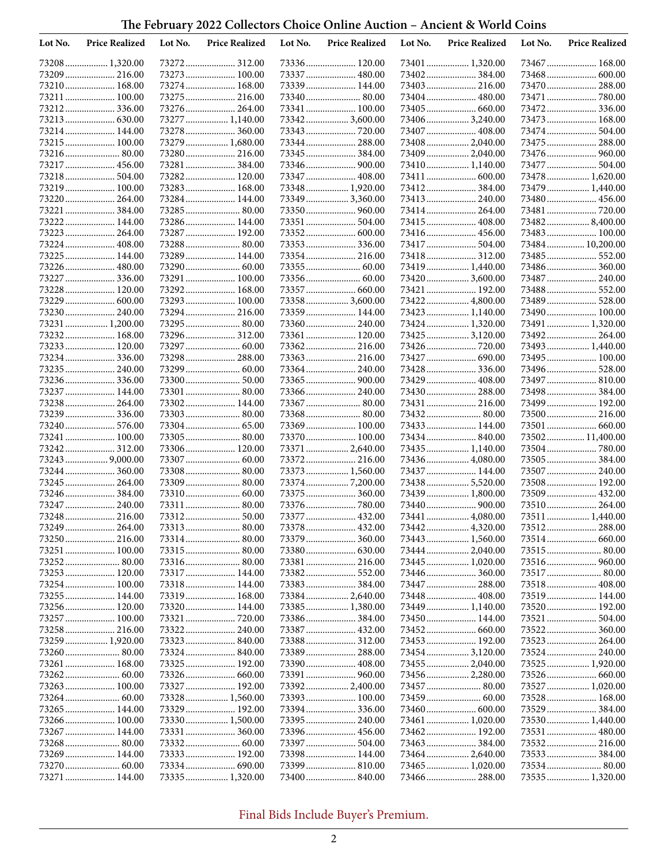| Lot No. | <b>Price Realized</b>            | Lot No. | <b>Price Realized</b>        | Lot No. | <b>Price Realized</b>              | Lot No. | <b>Price Realized</b>           | Lot No. | <b>Price Realized</b>              |
|---------|----------------------------------|---------|------------------------------|---------|------------------------------------|---------|---------------------------------|---------|------------------------------------|
|         | 73208 1,320.00                   |         |                              |         |                                    |         |                                 |         |                                    |
|         | 73209  216.00                    |         | 73273 100.00                 |         | 73337  480.00                      |         | 73402384.00                     |         |                                    |
|         | 73210 168.00                     |         | 73274 168.00                 |         | 73339 144.00                       |         | 73403  216.00                   |         | 73470  288.00                      |
|         | 73211  100.00                    |         | 73275 216.00                 |         | 73340 80.00                        |         |                                 |         | 73471  780.00                      |
|         | 73212336.00                      |         | 73276 264.00                 |         | 73341  100.00                      |         | 73405  660.00                   |         | 73472 336.00                       |
|         |                                  |         | 73277  1,140.00              |         | 733423,600.00                      |         | 73406 3,240.00                  |         | 73473  168.00                      |
|         | 73214 144.00                     |         | 73278 360.00                 |         |                                    |         | 73407  408.00                   |         |                                    |
|         | 73215 100.00                     |         | 73279  1,680.00              |         | 73344 288.00                       |         | 73408  2,040.00                 |         | 73475  288.00                      |
|         | 73216 80.00                      |         | 73280 216.00                 |         | 73345  384.00                      |         | 73409  2,040.00                 |         | 73476  960.00                      |
|         | 73217  456.00                    |         | 73281  384.00                |         |                                    |         | 73410 1,140.00                  |         | 73477  504.00                      |
|         | 73218 504.00                     |         | 73282 120.00<br>73283 168.00 |         | 73347  408.00                      |         |                                 |         | 73478  1,620.00<br>73479  1,440.00 |
|         | 73219 100.00<br>73220  264.00    |         | 73284 144.00                 |         | 73348  1,920.00<br>73349  3,360.00 |         | 73412 384.00                    |         |                                    |
|         | 73221  384.00                    |         | 73285 80.00                  |         | 73350 960.00                       |         | 73414 264.00                    |         | 73481  720.00                      |
|         | 73222 144.00                     |         | 73286 144.00                 |         | 73351  504.00                      |         | 73415  408.00                   |         | 734828,400.00                      |
|         | 73223  264.00                    |         | 73287 192.00                 |         |                                    |         |                                 |         | 73483 100.00                       |
|         | 73224  408.00                    |         | 73288 80.00                  |         | 73353336.00                        |         | 73417  504.00                   |         | 73484 10,200.00                    |
|         | 73225 144.00                     |         | 73289 144.00                 |         |                                    |         | 73418 312.00                    |         |                                    |
|         | 73226 480.00                     |         | 73290 60.00                  |         |                                    |         | 73419  1,440.00                 |         | 73486 360.00                       |
|         | 73227  336.00                    |         | 73291  100.00                |         |                                    |         | 73420  3,600.00                 |         | 73487  240.00                      |
|         | 73228 120.00                     |         | 73292 168.00                 |         | 73357  660.00                      |         | 73421  192.00                   |         | 73488 552.00                       |
|         |                                  |         | 73293 100.00                 |         | 73358  3,600.00                    |         | 73422  4,800.00                 |         |                                    |
|         | 73230 240.00                     |         | 73294 216.00                 |         | 73359 144.00                       |         | 73423  1,140.00                 |         | 73490 100.00                       |
|         | 73231  1,200.00                  |         | 73295 80.00                  |         | 73360 240.00                       |         | 73424  1,320.00                 |         | 73491  1,320.00                    |
|         | 73232 168.00                     |         | 73296 312.00                 |         | 73361  120.00                      |         | 73425  3,120.00                 |         | 73492 264.00                       |
|         | 73233 120.00                     |         |                              |         | 73362 216.00                       |         | 73426  720.00                   |         | 73493  1,440.00                    |
|         | 73234 336.00                     |         | 73298 288.00                 |         |                                    |         | 73427  690.00                   |         | 73495  100.00                      |
|         | 73235  240.00                    |         | 73299 60.00                  |         | 73364 240.00                       |         | 73428  336.00                   |         | 73496 528.00                       |
|         | 73236 336.00                     |         | 73300 50.00                  |         |                                    |         | 73429  408.00                   |         | 73497  810.00                      |
|         | 73237 144.00                     |         | 73301 80.00                  |         | 73366 240.00                       |         | 73430 288.00                    |         | 73498 384.00                       |
|         | 73238 264.00                     |         | 73302 144.00                 |         | 73367  80.00                       |         | 73431  216.00                   |         | 73499 192.00                       |
|         | 73239  336.00                    |         | 73303 80.00                  |         | 73368 80.00                        |         | 73432 80.00                     |         | 73500 216.00                       |
|         | 73240 576.00                     |         |                              |         | 73369  100.00                      |         | 73433  144.00                   |         | 73501  660.00                      |
|         | 73241  100.00                    |         | 73305 80.00                  |         | 73370 100.00                       |         | 73434 840.00                    |         | 73502 11,400.00                    |
|         | 73242 312.00                     |         | 73306 120.00                 |         | 73371  2,640.00                    |         | 73435  1,140.00                 |         | 73504 780.00                       |
|         | 73243  9,000.00<br>73244  360.00 |         |                              |         | 73372 216.00<br>73373  1,560.00    |         | 73436 4,080.00<br>73437  144.00 |         | 73505 384.00<br>73507 240.00       |
|         | 73245  264.00                    |         |                              |         | 733747,200.00                      |         | 73438  5,520.00                 |         | 73508 192.00                       |
|         | 73246384.00                      |         |                              |         | 73375  360.00                      |         | 73439  1,800.00                 |         | 73509  432.00                      |
|         | 73247  240.00                    |         | 73311 80.00                  |         | 73376  780.00                      |         | 73440  900.00                   |         | 73510 264.00                       |
|         | 73248 216.00                     |         |                              |         |                                    |         | 73441  4,080.00                 |         | 73511  1,440.00                    |
|         | 73249  264.00                    |         |                              |         | 73378 432.00                       |         | 73442  4,320.00                 |         |                                    |
|         | 73250 216.00                     |         |                              |         | 73379  360.00                      |         | 73443  1,560.00                 |         | 73514  660.00                      |
|         | 73251  100.00                    |         |                              |         |                                    |         | 73444  2,040.00                 |         |                                    |
|         | 73252 80.00                      |         |                              |         | 73381  216.00                      |         | 73445  1,020.00                 |         |                                    |
|         | 73253 120.00                     |         | 73317 144.00                 |         | 73382 552.00                       |         |                                 |         | 73517  80.00                       |
|         |                                  |         | 73318 144.00                 |         |                                    |         | 73447  288.00                   |         | 73518 408.00                       |
|         | 73255  144.00                    |         | 73319 168.00                 |         | 73384 2,640.00                     |         | 73448 408.00                    |         | 73519 144.00                       |
|         | 73256 120.00                     |         | 73320 144.00                 |         | 73385 1,380.00                     |         | 73449  1,140.00                 |         | 73520 192.00                       |
|         | 73257  100.00                    |         |                              |         |                                    |         | 73450 144.00                    |         |                                    |
|         | 73258 216.00                     |         | 73322 240.00                 |         | 73387  432.00                      |         |                                 |         |                                    |
|         | 73259  1,920.00                  |         |                              |         | 73388 312.00                       |         | 73453 192.00                    |         | 73523  264.00                      |
|         | 73260 80.00                      |         | 73324 840.00                 |         |                                    |         | 734543,120.00                   |         | 73524 240.00                       |
|         |                                  |         | 73325 192.00                 |         |                                    |         |                                 |         | 73525  1,920.00                    |
|         |                                  |         |                              |         |                                    |         |                                 |         |                                    |
|         | 73263  100.00                    |         | 73327 192.00                 |         | 73392 2,400.00                     |         |                                 |         | 73527  1,020.00                    |
|         |                                  |         | 73328 1,560.00               |         | 73393 100.00                       |         |                                 |         | 73528  168.00                      |
|         | 73265  144.00                    |         | 73329 192.00                 |         | 73394 336.00                       |         |                                 |         | 73529  384.00                      |
|         | 73266 100.00                     |         | 73330 1,500.00               |         |                                    |         | 73461  1,020.00                 |         | 73530 1,440.00                     |
|         | 73267  144.00                    |         |                              |         |                                    |         |                                 |         | 73531  480.00<br>73532 216.00      |
|         | 73269  144.00                    |         | 73333 192.00                 |         | 73398 144.00                       |         |                                 |         | 73533 384.00                       |
|         |                                  |         |                              |         | 73399  810.00                      |         | 73465  1,020.00                 |         |                                    |
|         | 73271  144.00                    |         | 73335 1,320.00               |         |                                    |         |                                 |         | 73535 1,320.00                     |
|         |                                  |         |                              |         |                                    |         |                                 |         |                                    |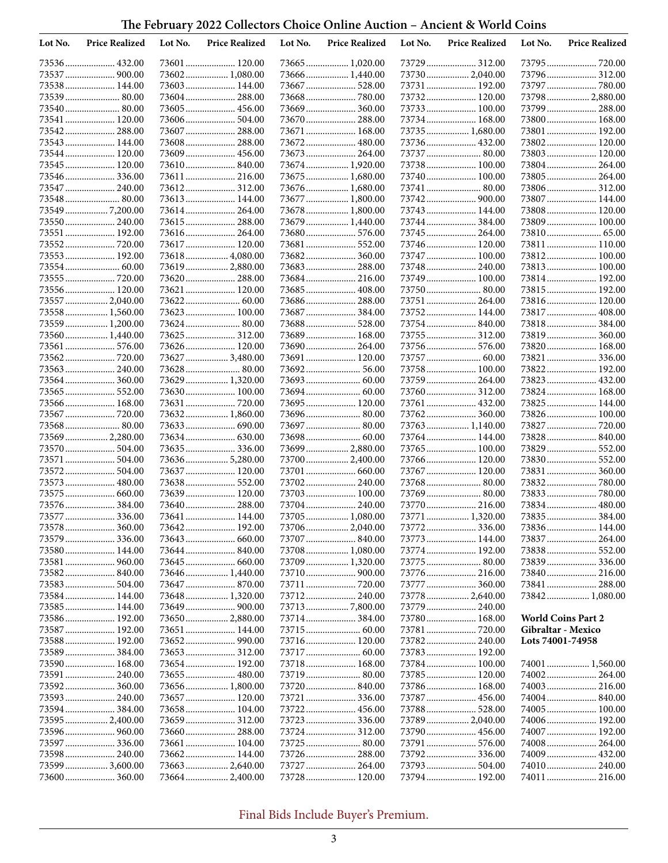| Lot No. | <b>Price Realized</b>           | Lot No. | <b>Price Realized</b>           | Lot No. | <b>Price Realized</b>           | Lot No. | <b>Price Realized</b>        | Lot No.          | <b>Price Realized</b>         |
|---------|---------------------------------|---------|---------------------------------|---------|---------------------------------|---------|------------------------------|------------------|-------------------------------|
|         | 73536 432.00                    |         | 73601 120.00                    |         |                                 |         |                              |                  |                               |
|         | 73537  900.00                   |         | 73602 1,080.00                  |         | 73666 1,440.00                  |         | 73730 2,040.00               |                  | 73796 312.00                  |
|         | 73538 144.00                    |         | 73603 144.00                    |         | 73667  528.00                   |         | 73731  192.00                |                  | 73797  780.00                 |
|         | 73539 80.00                     |         | 73604 288.00                    |         |                                 |         | 73732 120.00                 |                  | 73798  2,880.00               |
|         | 73540 80.00                     |         | 73605 456.00                    |         |                                 |         | 73733 100.00                 |                  | 73799  288.00                 |
|         | 73541  120.00                   |         | 73606 504.00                    |         | 73670  288.00                   |         | 73734 168.00                 |                  | 73800 168.00                  |
|         | 73542 288.00                    |         | 73607 288.00                    |         | 73671  168.00                   |         | 73735  1,680.00              |                  | 73801  192.00                 |
|         | 73543  144.00                   |         | 73608 288.00                    |         | 73672 480.00                    |         | 73736 432.00                 |                  | 73802 120.00                  |
|         | 73544 120.00<br>73545  120.00   |         | 73609 456.00<br>73610 840.00    |         | 73673  264.00<br>73674 1,920.00 |         | 73737  80.00<br>73738 100.00 |                  | 73803 120.00<br>73804 264.00  |
|         | 73546336.00                     |         | 73611 216.00                    |         | 73675  1,680.00                 |         | 73740 100.00                 |                  | 73805 264.00                  |
|         | 73547  240.00                   |         | 73612 312.00                    |         | 73676 1,680.00                  |         | 73741  80.00                 |                  | 73806 312.00                  |
|         | 73548 80.00                     |         | 73613 144.00                    |         | 73677  1,800.00                 |         |                              |                  | 73807  144.00                 |
|         | 73549 7,200.00                  |         |                                 |         | 73678  1,800.00                 |         | 73743 144.00                 |                  | 73808 120.00                  |
|         | 73550 240.00                    |         | 73615 288.00                    |         | 73679  1,440.00                 |         | 73744 384.00                 |                  | 73809 100.00                  |
|         | 73551  192.00                   |         | 73616 264.00                    |         |                                 |         | 73745  264.00                |                  |                               |
|         | 73552720.00                     |         | 73617 120.00                    |         | 73681  552.00                   |         | 73746 120.00                 |                  | 73811 110.00                  |
|         | 73553 192.00                    |         | 73618 4,080.00                  |         | 73682 360.00                    |         | 73747  100.00                |                  | 73812 100.00                  |
|         |                                 |         | 73619 2,880.00                  |         | 73683 288.00                    |         | 73748  240.00                |                  | 73813 100.00                  |
|         | 73555  720.00                   |         | 73620 288.00                    |         |                                 |         | 73749 100.00                 |                  | 73814 192.00                  |
|         | 73556 120.00                    |         | 73621  120.00                   |         | 73685 408.00                    |         |                              |                  | 73815 192.00                  |
|         | 73557  2,040.00                 |         |                                 |         | 73686 288.00                    |         | 73751  264.00                |                  | 73816 120.00                  |
|         | 73558 1,560.00                  |         | 73623 100.00                    |         | 73687  384.00                   |         | 73752 144.00                 |                  | 73817  408.00                 |
|         | 73559  1,200.00                 |         | 73624 80.00                     |         | 73688 528.00                    |         | 73754 840.00                 |                  | 73818 384.00                  |
|         | 73560 1,440.00                  |         | 73625 312.00                    |         | 73689  168.00                   |         | 73755  312.00                |                  | 73819 360.00                  |
|         | 73561  576.00                   |         | 73626 120.00<br>73627  3,480.00 |         | 73690 264.00<br>73691  120.00   |         | 73756 576.00                 |                  | 73820 168.00<br>73821  336.00 |
|         | 73563  240.00                   |         | 73628 80.00                     |         | 73692 56.00                     |         | 73758 100.00                 |                  | 73822 192.00                  |
|         |                                 |         | 73629  1,320.00                 |         |                                 |         |                              |                  |                               |
|         |                                 |         | 73630 100.00                    |         |                                 |         |                              |                  | 73824 168.00                  |
|         | 73566 168.00                    |         | 73631  720.00                   |         | 73695 120.00                    |         | 73761  432.00                |                  | 73825 144.00                  |
|         | 73567  720.00                   |         | 73632 1,860.00                  |         | 73696 80.00                     |         | 73762 360.00                 |                  | 73826 100.00                  |
|         |                                 |         |                                 |         | 73697  80.00                    |         | 73763 1,140.00               |                  | 73827  720.00                 |
|         | 73569  2,280.00                 |         |                                 |         |                                 |         | 73764 144.00                 |                  | 73828 840.00                  |
|         | 73570  504.00                   |         | 73635336.00                     |         | 73699  2,880.00                 |         | 73765 100.00                 |                  | 73829  552.00                 |
|         | 73571  504.00                   |         | 73636 5,280.00                  |         | 73700 2,400.00                  |         | 73766 120.00                 |                  | 73830 552.00                  |
|         |                                 |         | 73637  120.00                   |         |                                 |         | 73767  120.00                |                  | 73831  360.00                 |
|         | 73573  480.00                   |         | 73638 552.00                    |         | 73702 240.00                    |         | 73768 80.00                  |                  | 73832 780.00                  |
|         | 73575  660.00                   |         | 73639 120.00                    |         | 73703 100.00                    |         | 73769  80.00                 |                  |                               |
|         | 73576 384.00                    |         | 73640 288.00                    |         | 73704 240.00                    |         | 73770  216.00                |                  | 73834 480.00                  |
|         | 73577  336.00                   |         | 73641  144.00                   |         | 73705 1,080.00                  |         | 73771  1,320.00              |                  | 73835 384.00                  |
|         | 73578 360.00                    |         | 73642 192.00                    |         | 73706 2,040.00                  |         |                              |                  | 73836 144.00                  |
|         | 73579  336.00<br>73580 144.00   |         | 73643  660.00                   |         | 73707  840.00<br>73708 1,080.00 |         | 73774 192.00                 |                  | 73838 552.00                  |
|         |                                 |         |                                 |         | 73709  1,320.00                 |         |                              |                  |                               |
|         |                                 |         |                                 |         |                                 |         |                              |                  | 73840 216.00                  |
|         |                                 |         |                                 |         |                                 |         | 73777  360.00                |                  | 73841  288.00                 |
|         | 73584 144.00                    |         | 73648 1,320.00                  |         |                                 |         | 73778  2,640.00              |                  | 73842 1,080.00                |
|         | 73585 144.00                    |         |                                 |         |                                 |         | 73779  240.00                |                  |                               |
|         | 73586 192.00                    |         | 73650 2,880.00                  |         |                                 |         | 73780 168.00                 |                  | <b>World Coins Part 2</b>     |
|         | 73587  192.00                   |         | 73651  144.00                   |         |                                 |         |                              |                  | Gibraltar - Mexico            |
|         | 73588 192.00                    |         |                                 |         | 73716 120.00                    |         |                              | Lots 74001-74958 |                               |
|         | 73589 384.00                    |         |                                 |         |                                 |         | 73783 192.00                 |                  |                               |
|         | 73590 168.00                    |         | 73654 192.00                    |         | 73718 168.00                    |         | 73784 100.00                 |                  | 74001  1,560.00               |
|         | 73591  240.00                   |         |                                 |         |                                 |         | 73785 120.00                 |                  |                               |
|         | 73592 360.00                    |         | 73656 1,800.00                  |         |                                 |         | 73786 168.00                 |                  | 74003  216.00                 |
|         | 73593 240.00                    |         | 73657 120.00                    |         |                                 |         |                              |                  | 74004 840.00                  |
|         | 73594 384.00<br>73595  2,400.00 |         | 73658 104.00                    |         |                                 |         | 73789  2,040.00              |                  | 74005 100.00<br>74006 192.00  |
|         |                                 |         | 73660 288.00                    |         | 73724 312.00                    |         |                              |                  | 74007  192.00                 |
|         | 73597336.00                     |         | 73661 104.00                    |         |                                 |         |                              |                  | 74008 264.00                  |
|         | 73598 240.00                    |         | 73662 144.00                    |         |                                 |         |                              |                  |                               |
|         | 73599  3,600.00                 |         | 736632,640.00                   |         | 73727  264.00                   |         | 73793  504.00                |                  |                               |
|         | 73600 360.00                    |         | 736642,400.00                   |         |                                 |         | 73794 192.00                 |                  | 74011  216.00                 |
|         |                                 |         |                                 |         |                                 |         |                              |                  |                               |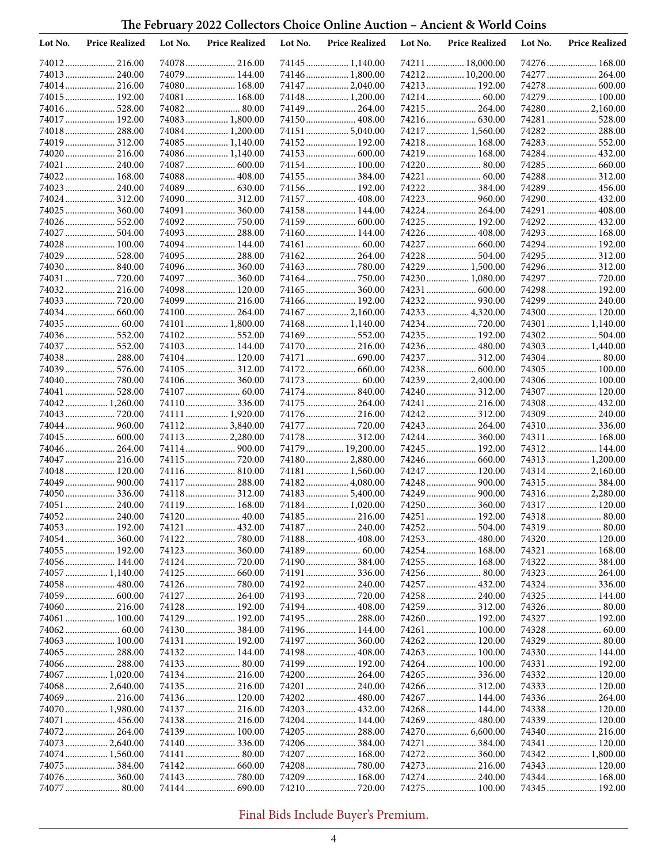| Lot No. | <b>Price Realized</b>          | Lot No. | <b>Price Realized</b>            | Lot No. | <b>Price Realized</b>          | Lot No. | <b>Price Realized</b>          | Lot No. | <b>Price Realized</b>          |
|---------|--------------------------------|---------|----------------------------------|---------|--------------------------------|---------|--------------------------------|---------|--------------------------------|
|         | 74012 216.00                   |         | 74078 216.00                     |         | 74145  1,140.00                |         | 74211  18,000.00               |         | 74276  168.00                  |
|         | 74013  240.00                  |         | 74079 144.00                     |         | 74146 1,800.00                 |         | 74212 10,200.00                |         | 74277  264.00                  |
|         | 74014 216.00                   |         | 74080 168.00                     |         | 74147  2,040.00                |         | 74213  192.00                  |         | 74278  600.00                  |
|         | 74015 192.00                   |         | 74081 168.00                     |         | 74148  1,200.00                |         |                                |         | 74279  100.00                  |
|         | 74016 528.00                   |         |                                  |         | 74149  264.00                  |         | 74215  264.00                  |         | 74280 2,160.00                 |
|         | 74017  192.00                  |         | 74083 1,800.00                   |         | 74150 408.00                   |         |                                |         | 74281  528.00                  |
|         | 74018 288.00                   |         | 74084 1,200.00                   |         | 74151  5,040.00                |         | 74217  1,560.00                |         | 74282 288.00                   |
|         | 74019  312.00                  |         | 74085 1,140.00                   |         | 74152 192.00                   |         | 74218 168.00                   |         | 74283 552.00                   |
|         | 74020 216.00                   |         | 74086 1,140.00                   |         |                                |         | 74219 168.00                   |         | 74284 432.00                   |
|         | 74021  240.00                  |         | 74087  600.00                    |         | 74154 100.00                   |         | 74220 80.00                    |         | 74285  660.00                  |
|         | 74022 168.00                   |         | 74088 408.00                     |         | 74155  384.00                  |         |                                |         |                                |
|         | 74023 240.00<br>74024  312.00  |         | 74090 312.00                     |         | 74156 192.00<br>74157  408.00  |         | 74222  384.00<br>74223  960.00 |         | 74289  456.00<br>74290  432.00 |
|         | 74025  360.00                  |         | 74091 360.00                     |         | 74158 144.00                   |         | 74224  264.00                  |         | 74291  408.00                  |
|         | 74026 552.00                   |         | 74092 750.00                     |         | 74159  600.00                  |         | 74225  192.00                  |         | 74292 432.00                   |
|         | 74027  504.00                  |         | 74093  288.00                    |         | 74160 144.00                   |         | 74226  408.00                  |         | 74293  168.00                  |
|         | 74028  100.00                  |         | 74094 144.00                     |         |                                |         |                                |         | 74294  192.00                  |
|         | 74029  528.00                  |         | 74095 288.00                     |         | 74162 264.00                   |         | 74228  504.00                  |         | 74295  312.00                  |
|         | 74030  840.00                  |         | 74096 360.00                     |         |                                |         | 74229  1,500.00                |         | 74296 312.00                   |
|         | 74031  720.00                  |         | 74097  360.00                    |         |                                |         | 74230  1,080.00                |         | 74297  720.00                  |
|         | 74032 216.00                   |         | 74098 120.00                     |         | 74165  360.00                  |         |                                |         | 74298 192.00                   |
|         |                                |         | 74099 216.00                     |         | 74166 192.00                   |         |                                |         | 74299  240.00                  |
|         | 74034  660.00                  |         | 74100 264.00                     |         | 74167  2,160.00                |         | 74233  4,320.00                |         | 74300 120.00                   |
|         | 74035  60.00                   |         | 74101 1,800.00                   |         | 74168 1,140.00                 |         |                                |         | 74301  1,140.00                |
|         | 74036 552.00                   |         | 74102 552.00                     |         | 74169  552.00                  |         | 74235  192.00                  |         | 74302 504.00                   |
|         | 74037  552.00                  |         | 74103 144.00                     |         | 74170 216.00                   |         |                                |         | 74303 1,440.00                 |
|         | 74038 288.00                   |         | 74104 120.00                     |         | 74171  690.00                  |         | 74237  312.00                  |         | 74304 80.00                    |
|         | 74039  576.00                  |         | 74105 312.00                     |         | 74172 660.00                   |         | 74238 600.00                   |         | 74305 100.00                   |
|         | 74040  780.00                  |         | 74106 360.00                     |         |                                |         | 74239  2,400.00                |         | 74306 100.00                   |
|         | 74041  528.00                  |         | 74107  60.00                     |         | 74174  840.00                  |         | 74240  312.00                  |         | 74307 120.00                   |
|         | 74042 1,260.00                 |         | 74110 336.00                     |         | 74175  264.00                  |         | 74241  216.00                  |         | 74308 432.00                   |
|         | 74043  720.00                  |         | 74111  1,920.00                  |         | 74176 216.00                   |         |                                |         | 74309  240.00                  |
|         | 74044  960.00<br>74045  600.00 |         | 74112 3,840.00<br>74113 2,280.00 |         | 74177  720.00<br>74178  312.00 |         | 74243  264.00<br>74244  360.00 |         | 74311  168.00                  |
|         | 74046  264.00                  |         | 74114 900.00                     |         | 74179  19,200.00               |         | 74245  192.00                  |         | 74312 144.00                   |
|         | 74047  216.00                  |         |                                  |         | 74180 2,880.00                 |         |                                |         | 74313  1,200.00                |
|         | 74048  120.00                  |         | 74116 810.00                     |         | 74181  1,560.00                |         | 74247  120.00                  |         | 74314 2,160.00                 |
|         |                                |         | 74117 288.00                     |         | 74182 4,080.00                 |         |                                |         | 74315  384.00                  |
|         | 74050  336.00                  |         | 74118 312.00                     |         | 741835,400.00                  |         |                                |         | 74316 2,280.00                 |
|         | 74051  240.00                  |         | 74119 168.00                     |         | 74184 1,020.00                 |         | 74250 360.00                   |         | 74317  120.00                  |
|         | 74052 240.00                   |         | 74120 40.00                      |         | 74185 216.00                   |         | 74251  192.00                  |         |                                |
|         | 74053 192.00                   |         |                                  |         |                                |         |                                |         |                                |
|         |                                |         | 74122 780.00                     |         | 74188 408.00                   |         |                                |         | 74320 120.00                   |
|         | 74055 192.00                   |         |                                  |         |                                |         | 74254 168.00                   |         | 74321  168.00                  |
|         | 74056 144.00                   |         |                                  |         |                                |         | 74255  168.00                  |         | 74322 384.00                   |
|         | 74057  1,140.00                |         |                                  |         | 74191  336.00                  |         | 74256 80.00                    |         | 74323  264.00                  |
|         | 74058  480.00                  |         |                                  |         | 74192  240.00                  |         |                                |         |                                |
|         | 74059  600.00                  |         | 74127  264.00                    |         |                                |         | 74258 240.00                   |         | 74325  144.00                  |
|         | 74060 216.00                   |         | 74128 192.00                     |         |                                |         | 74259  312.00                  |         | 74326 80.00                    |
|         | 74061  100.00                  |         | 74129 192.00                     |         | 74195  288.00<br>74196 144.00  |         | 74260 192.00<br>74261  100.00  |         | 74327  192.00                  |
|         | 74063  100.00                  |         | 74131 192.00                     |         |                                |         | 74262 120.00                   |         | 74329  80.00                   |
|         | 74065  288.00                  |         | 74132 144.00                     |         | 74198 408.00                   |         |                                |         | 74330 144.00                   |
|         |                                |         |                                  |         | 74199 192.00                   |         | 74264 100.00                   |         | 74331  192.00                  |
|         | 74067  1,020.00                |         | 74134 216.00                     |         | 74200 264.00                   |         |                                |         | 74332 120.00                   |
|         | 74068 2,640.00                 |         | 74135 216.00                     |         |                                |         |                                |         | 74333 120.00                   |
|         |                                |         | 74136 120.00                     |         |                                |         | 74267  144.00                  |         | 74336 264.00                   |
|         | 74070  1,980.00                |         | 74137 216.00                     |         |                                |         | 74268 144.00                   |         | 74338 120.00                   |
|         | 74071  456.00                  |         | 74138 216.00                     |         | 74204 144.00                   |         | 74269  480.00                  |         | 74339  120.00                  |
|         | 74072 264.00                   |         | 74139 100.00                     |         |                                |         | 74270  6,600.00                |         | 74340  216.00                  |
|         | 74073  2,640.00                |         |                                  |         |                                |         |                                |         | 74341  120.00                  |
|         | 74074 1,560.00                 |         | 74141  80.00                     |         | 74207  168.00                  |         |                                |         | 74342  1,800.00                |
|         |                                |         |                                  |         |                                |         |                                |         | 74343  120.00                  |
|         | 74076 360.00                   |         |                                  |         | 74209 168.00                   |         | 74274  240.00                  |         | 74344 168.00                   |
|         | 74077  80.00                   |         |                                  |         |                                |         | 74275  100.00                  |         | 74345  192.00                  |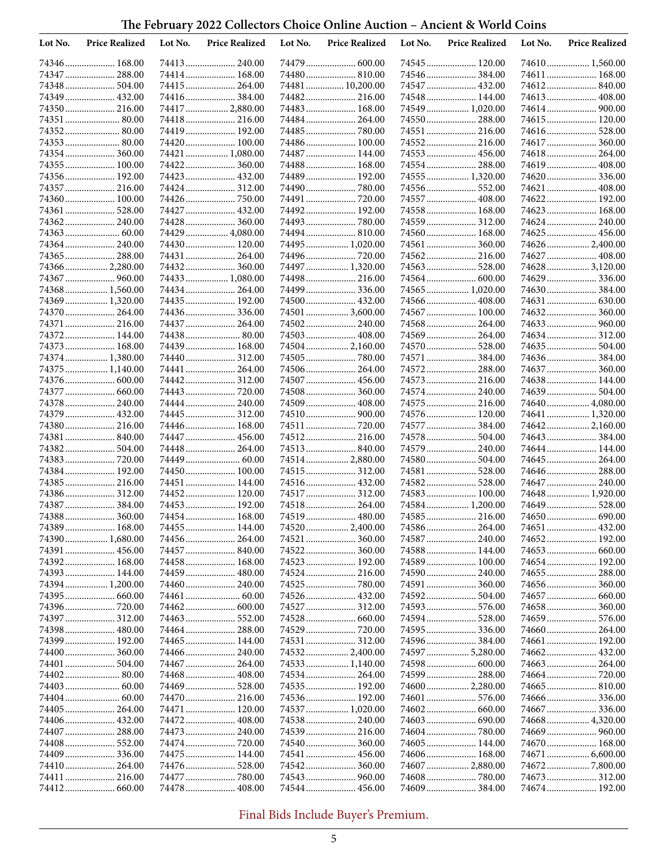| Lot No. | <b>Price Realized</b>            | Lot No. | <b>Price Realized</b>           | Lot No. | <b>Price Realized</b>           | Lot No. | <b>Price Realized</b>           | Lot No. | <b>Price Realized</b>            |
|---------|----------------------------------|---------|---------------------------------|---------|---------------------------------|---------|---------------------------------|---------|----------------------------------|
|         | 74346 168.00                     |         |                                 |         |                                 |         |                                 |         | 74610 1,560.00                   |
|         | 74347  288.00                    |         | 74414 168.00                    |         | 74480  810.00                   |         | 74546384.00                     |         | 74611  168.00                    |
|         | 74348  504.00                    |         | 74415 264.00                    |         | 74481  10,200.00                |         | 74547  432.00                   |         | 74612 840.00                     |
|         | 74349  432.00                    |         | 74416384.00                     |         | 74482 216.00                    |         | 74548  144.00                   |         | 74613  408.00                    |
|         | 74350 216.00                     |         | 74417  2,880.00                 |         | 74483  168.00                   |         | 74549  1,020.00                 |         |                                  |
|         | 74351  80.00                     |         | 74418 216.00                    |         | 74484 264.00                    |         | 74550 288.00                    |         | 74615 120.00                     |
|         |                                  |         | 74419 192.00                    |         | 74485  780.00                   |         | 74551  216.00                   |         |                                  |
|         | 74353 80.00                      |         | 74420 100.00                    |         | 74486 100.00                    |         | 74552 216.00                    |         | 74617  360.00                    |
|         | 74354 360.00                     |         | 74421  1,080.00                 |         | 74487  144.00                   |         | 74553  456.00                   |         | 74618 264.00                     |
|         | 74355  100.00                    |         | 74422 360.00                    |         | 74488 168.00                    |         | 74554  288.00                   |         | 74619  408.00                    |
|         | 74356 192.00                     |         | 74423 432.00                    |         | 74489  192.00                   |         | 74555  1,320.00                 |         | 74620 336.00                     |
|         | 74357  216.00                    |         | 74424 312.00                    |         | 74490  780.00                   |         |                                 |         | 74621  408.00                    |
|         | 74360 100.00                     |         | 74426750.00                     |         | 74491  720.00                   |         | 74557  408.00                   |         | 74622 192.00                     |
|         | 74361  528.00                    |         | 74427  432.00                   |         | 74492 192.00                    |         | 74558 168.00                    |         | 74623  168.00                    |
|         | 74362 240.00                     |         | 74428 360.00                    |         | 74493  780.00                   |         | 74559  312.00                   |         | 74624  240.00                    |
|         |                                  |         | 74429  4,080.00                 |         | 74494 810.00                    |         | 74560 168.00                    |         | 74625  456.00                    |
|         | 74364 240.00                     |         | 74430 120.00<br>74431 264.00    |         | 74495  1,020.00                 |         | 74561  360.00                   |         | 74626  2,400.00                  |
|         | 74365  288.00                    |         |                                 |         | 74496  720.00                   |         |                                 |         | 74627  408.00                    |
|         | 74366  2,280.00<br>74367  960.00 |         | 74432 360.00<br>74433  1,080.00 |         | 74497  1,320.00<br>74498 216.00 |         | 74563  528.00<br>74564  600.00  |         | 74628  3,120.00<br>74629  336.00 |
|         | 74368 1,560.00                   |         | 74434 264.00                    |         | 74499  336.00                   |         | 74565  1,020.00                 |         | 74630 384.00                     |
|         | 74369  1,320.00                  |         | 74435 192.00                    |         | 74500 432.00                    |         | 74566  408.00                   |         |                                  |
|         | 74370  264.00                    |         | 74436 336.00                    |         | 74501  3,600.00                 |         | 74567  100.00                   |         | 74632 360.00                     |
|         | 74371  216.00                    |         | 74437  264.00                   |         | 74502 240.00                    |         | 74568 264.00                    |         |                                  |
|         | 74372 144.00                     |         |                                 |         | 74503  408.00                   |         | 74569  264.00                   |         | 74634 312.00                     |
|         | 74373  168.00                    |         | 74439 168.00                    |         | 74504 2,160.00                  |         | 74570  528.00                   |         |                                  |
|         | 74374  1,380.00                  |         | 74440 312.00                    |         |                                 |         | 74571  384.00                   |         | 74636 384.00                     |
|         | 74375  1,140.00                  |         | 74441  264.00                   |         | 74506 264.00                    |         | 74572 288.00                    |         | 74637  360.00                    |
|         | 74376  600.00                    |         | 74442 312.00                    |         | 74507  456.00                   |         | 74573  216.00                   |         | 74638 144.00                     |
|         | 74377  660.00                    |         | 74443  720.00                   |         | 74508 360.00                    |         | 74574  240.00                   |         | 74639  504.00                    |
|         | 74378  240.00                    |         | 74444 240.00                    |         | 74509  408.00                   |         | 74575  216.00                   |         | 74640 4,080.00                   |
|         | 74379  432.00                    |         | 74445  312.00                   |         |                                 |         | 74576 120.00                    |         | 74641  1,320.00                  |
|         | 74380 216.00                     |         | 74446 168.00                    |         | 74511  720.00                   |         |                                 |         |                                  |
|         | 74381  840.00                    |         | 74447  456.00                   |         | 74512 216.00                    |         |                                 |         | 74643  384.00                    |
|         | 74382 504.00                     |         | 74448 264.00                    |         | 74513 840.00                    |         | 74579  240.00                   |         | 74644  144.00                    |
|         | 74383  720.00                    |         | 74449  60.00                    |         | 745142,880.00                   |         | 74580 504.00                    |         | 74645  264.00                    |
|         | 74384 192.00                     |         | 74450 100.00                    |         |                                 |         |                                 |         | 74646 288.00                     |
|         | 74385 216.00                     |         | 74451  144.00                   |         | 74516 432.00                    |         | 74582 528.00                    |         | 74647  240.00                    |
|         | 74386 312.00                     |         | 74452 120.00                    |         | 74517  312.00                   |         | 74583 100.00                    |         | 74648  1,920.00                  |
|         | 74387  384.00                    |         | 74453 192.00                    |         | 74518 264.00                    |         | 74584  1,200.00                 |         | 74649  528.00                    |
|         | 74388 360.00                     |         | 74454 168.00                    |         | 74519  480.00                   |         | 74585  216.00                   |         |                                  |
|         | 74389 168.00                     |         | 74455  144.00                   |         | 74520  2,400.00                 |         | 74586  264.00                   |         |                                  |
|         | 74390 1,680.00                   |         | 74456 264.00                    |         | 74521  360.00                   |         | 74587  240.00                   |         | 74652 192.00                     |
|         | 74391  456.00                    |         | 74457  840.00                   |         |                                 |         | 74588 144.00                    |         |                                  |
|         | 74392 168.00                     |         | 74458 168.00                    |         | 74523  192.00                   |         | 74589 100.00                    |         | 74654 192.00                     |
|         | 74393 144.00                     |         |                                 |         | 74524  216.00                   |         | 74590 240.00                    |         | 74655  288.00                    |
|         | 74394  1,200.00                  |         |                                 |         |                                 |         | 74591  360.00                   |         |                                  |
|         | 74395  660.00                    |         |                                 |         | 74526  432.00                   |         |                                 |         | 74657  660.00                    |
|         |                                  |         |                                 |         | 74527  312.00                   |         |                                 |         | 74658 360.00                     |
|         | 74397  312.00                    |         | 74463 552.00                    |         |                                 |         |                                 |         | 74659  576.00                    |
|         | 74398 480.00                     |         | 74464 288.00                    |         |                                 |         |                                 |         | 74660  264.00<br>74661  192.00   |
|         | 74399 192.00                     |         | 74465 144.00                    |         | 74531  312.00                   |         |                                 |         |                                  |
|         | 74401  504.00                    |         | 74466  240.00                   |         | 745322,400.00                   |         | 74597  5,280.00<br>74598 600.00 |         | 74663  264.00                    |
|         |                                  |         |                                 |         |                                 |         | 74599  288.00                   |         |                                  |
|         |                                  |         |                                 |         | 74535 192.00                    |         | 74600  2,280.00                 |         |                                  |
|         |                                  |         | 74470 216.00                    |         | 74536 192.00                    |         | 74601  576.00                   |         |                                  |
|         | 74405  264.00                    |         | 74471  120.00                   |         | 74537  1,020.00                 |         |                                 |         | 74667  336.00                    |
|         |                                  |         |                                 |         |                                 |         |                                 |         | 74668 4,320.00                   |
|         | 74407  288.00                    |         |                                 |         |                                 |         |                                 |         |                                  |
|         |                                  |         |                                 |         | 74540 360.00                    |         | 74605 144.00                    |         | 74670  168.00                    |
|         |                                  |         | 74475 144.00                    |         | 74541  456.00                   |         |                                 |         |                                  |
|         | 74410 264.00                     |         |                                 |         | 74542  360.00                   |         | 74607  2,880.00                 |         |                                  |
|         | 74411  216.00                    |         | 74477  780.00                   |         |                                 |         |                                 |         |                                  |
|         |                                  |         | 74478 408.00                    |         | 74544  456.00                   |         | 74609  384.00                   |         | 74674  192.00                    |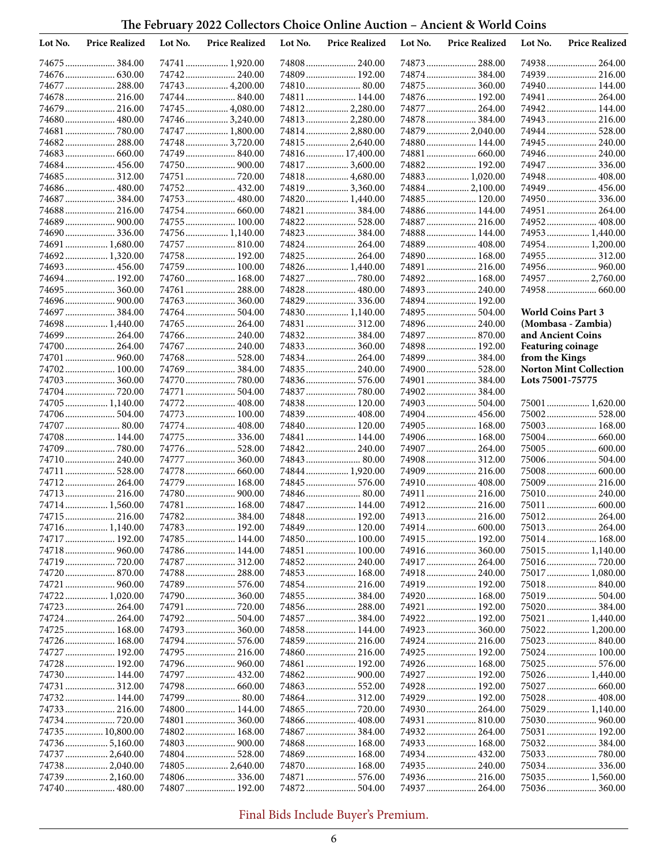| Lot No. | <b>Price Realized</b>         | Lot No. | <b>Price Realized</b>         | Lot No. | <b>Price Realized</b>           | Lot No. | <b>Price Realized</b>             | Lot No.                  | <b>Price Realized</b>         |
|---------|-------------------------------|---------|-------------------------------|---------|---------------------------------|---------|-----------------------------------|--------------------------|-------------------------------|
|         | 74675  384.00                 |         | 74741  1,920.00               |         |                                 |         |                                   |                          | 74938 264.00                  |
|         |                               |         | 74742 240.00                  |         | 74809  192.00                   |         |                                   |                          | 74939  216.00                 |
|         | 74677  288.00                 |         | 74743  4,200.00               |         |                                 |         | 74875  360.00                     |                          | 74940 144.00                  |
|         | 74678  216.00                 |         | 74744840.00                   |         | 74811  144.00                   |         | 74876 192.00                      |                          | 74941  264.00                 |
|         | 74679  216.00                 |         | 74745  4,080.00               |         | 74812 2,280.00                  |         | 74877  264.00                     |                          | 74942 144.00                  |
|         | 74680  480.00                 |         | 747463,240.00                 |         |                                 |         | 74878  384.00                     |                          | 74943  216.00                 |
|         |                               |         | 74747  1,800.00               |         | 74814 2,880.00                  |         | 74879  2,040.00                   |                          | 74944  528.00                 |
|         | 74682 288.00                  |         | 74748  3,720.00               |         | 74815  2,640.00                 |         | 74880 144.00                      |                          | 74945  240.00                 |
|         |                               |         | 74749 840.00                  |         | 74816  17,400.00                |         |                                   |                          | 74946 240.00                  |
|         | 74684 456.00                  |         |                               |         | 74817  3,600.00                 |         | 74882 192.00                      |                          | 74947  336.00                 |
|         | 74685 312.00<br>74686 480.00  |         | 74751  720.00<br>74752 432.00 |         | 74818 4,680.00<br>748193,360.00 |         | 74883  1,020.00<br>74884 2,100.00 |                          | 74948  408.00<br>74949 456.00 |
|         | 74687  384.00                 |         | 74753 480.00                  |         | 74820  1,440.00                 |         | 74885 120.00                      |                          | 74950 336.00                  |
|         | 74688 216.00                  |         | 74754 660.00                  |         | 74821  384.00                   |         | 74886 144.00                      |                          | 74951  264.00                 |
|         |                               |         | 74755 100.00                  |         | 74822 528.00                    |         | 74887  216.00                     |                          | 74952 408.00                  |
|         |                               |         | 74756 1,140.00                |         | 74823  384.00                   |         | 74888 144.00                      |                          | 74953  1,440.00               |
|         | 74691  1,680.00               |         | 74757  810.00                 |         | 74824 264.00                    |         | 74889  408.00                     |                          | 74954  1,200.00               |
|         | 74692 1,320.00                |         | 74758 192.00                  |         |                                 |         | 74890 168.00                      |                          |                               |
|         | 74693  456.00                 |         | 74759 100.00                  |         | 74826  1,440.00                 |         | 74891  216.00                     |                          |                               |
|         | 74694 192.00                  |         | 74760 168.00                  |         | 74827  780.00                   |         | 74892 168.00                      |                          | 74957  2,760.00               |
|         | 74695  360.00                 |         | 74761  288.00                 |         | 74828  480.00                   |         | 74893  240.00                     |                          |                               |
|         |                               |         |                               |         | 74829  336.00                   |         | 74894  192.00                     |                          |                               |
|         | 74697  384.00                 |         | 74764 504.00                  |         | 74830 1,140.00                  |         | 74895  504.00                     |                          | <b>World Coins Part 3</b>     |
|         | 74698  1,440.00               |         | 74765 264.00                  |         | 74831  312.00                   |         | 74896 240.00                      |                          | (Mombasa - Zambia)            |
|         | 74699  264.00                 |         | 74766 240.00                  |         | 74832 384.00                    |         | 74897  870.00                     |                          | and Ancient Coins             |
|         | 74700 264.00                  |         | 74767 240.00                  |         | 74833 360.00                    |         | 74898 192.00                      | <b>Featuring coinage</b> |                               |
|         | 74701  960.00                 |         | 74768 528.00                  |         | 74834 264.00                    |         | 74899  384.00                     | from the Kings           |                               |
|         | 74702 100.00                  |         | 74769384.00                   |         | 74835 240.00                    |         | 74900 528.00                      |                          | <b>Norton Mint Collection</b> |
|         | 74703 360.00                  |         | 74770  780.00                 |         |                                 |         |                                   | Lots 75001-75775         |                               |
|         |                               |         | 74771  504.00                 |         | 74837  780.00                   |         | 74902 384.00                      |                          |                               |
|         | 74705  1,140.00               |         | 74772 408.00                  |         | 74838 120.00                    |         | 74903  504.00                     |                          | 75001 1,620.00                |
|         | 74706 504.00<br>74707  80.00  |         | 74773 100.00<br>74774 408.00  |         | 74839  408.00<br>74840 120.00   |         | 74904 456.00<br>74905 168.00      |                          | 75002 528.00<br>75003 168.00  |
|         | 74708 144.00                  |         | 74775 336.00                  |         | 74841  144.00                   |         | 74906 168.00                      |                          | 75004 660.00                  |
|         | 74709  780.00                 |         | 74776 528.00                  |         | 74842 240.00                    |         | 74907  264.00                     |                          | 75005  600.00                 |
|         | 74710 240.00                  |         | 74777  360.00                 |         | 74843  80.00                    |         | 74908 312.00                      |                          | 75006 504.00                  |
|         | 74711  528.00                 |         |                               |         | 74844 1,920.00                  |         | 74909 216.00                      |                          | 75008  600.00                 |
|         | 74712 264.00                  |         | 74779  168.00                 |         |                                 |         | 74910 408.00                      |                          | 75009  216.00                 |
|         | 74713  216.00                 |         | 74780 900.00                  |         |                                 |         | 74911  216.00                     |                          | 75010 240.00                  |
|         | 74714 1,560.00                |         | 74781  168.00                 |         | 74847  144.00                   |         | 74912 216.00                      |                          | 75011 600.00                  |
|         | 74715  216.00                 |         |                               |         | 74848  192.00                   |         | 74913 216.00                      |                          | 75012 264.00                  |
|         | 74716 1,140.00                |         | 74783 192.00                  |         | 74849  120.00                   |         |                                   |                          |                               |
|         | 74717  192.00                 |         | 74785 144.00                  |         | 74850 100.00                    |         | 74915 192.00                      |                          | 75014 168.00                  |
|         |                               |         | 74786 144.00                  |         | 74851  100.00                   |         |                                   |                          | 75015 1,140.00                |
|         |                               |         |                               |         |                                 |         |                                   |                          |                               |
|         | 74720  870.00                 |         |                               |         | 74853  168.00                   |         |                                   |                          | 75017 1,080.00                |
|         | 74721  960.00                 |         |                               |         | 74854 216.00                    |         | 74919 192.00                      |                          |                               |
|         | 74722 1,020.00                |         |                               |         |                                 |         | 74920 168.00                      |                          | 75019  504.00                 |
|         | 74723  264.00                 |         |                               |         |                                 |         | 74921  192.00                     |                          | 75020 384.00                  |
|         | 74724 264.00                  |         |                               |         |                                 |         | 74922 192.00                      |                          | 75021  1,440.00               |
|         | 74725  168.00                 |         |                               |         | 74858 144.00                    |         | 74923  360.00                     |                          | 75022 1,200.00                |
|         | 74726 168.00<br>74727  192.00 |         |                               |         |                                 |         | 74924  216.00                     |                          | 75023  840.00                 |
|         | 74728 192.00                  |         |                               |         | 74861  192.00                   |         | 74925  192.00<br>74926 168.00     |                          | 75024 100.00                  |
|         | 74730 144.00                  |         |                               |         |                                 |         | 74927  192.00                     |                          | 75026 1,440.00                |
|         | 74731  312.00                 |         |                               |         | 74863 552.00                    |         | 74928 192.00                      |                          | 75027  660.00                 |
|         | 74732 144.00                  |         |                               |         |                                 |         | 74929  192.00                     |                          | 75028  408.00                 |
|         |                               |         | 74800 144.00                  |         |                                 |         |                                   |                          | 75029  1,140.00               |
|         |                               |         |                               |         |                                 |         |                                   |                          |                               |
|         | 74735  10,800.00              |         | 74802 168.00                  |         |                                 |         |                                   |                          | 75031  192.00                 |
|         |                               |         |                               |         | 74868 168.00                    |         | 74933  168.00                     |                          |                               |
|         | 74737  2,640.00               |         | 74804 528.00                  |         | 74869 168.00                    |         |                                   |                          |                               |
|         | 74738  2,040.00               |         | 74805 2,640.00                |         | 74870  168.00                   |         | 74935 240.00                      |                          | 75034 336.00                  |
|         | 74739  2,160.00               |         |                               |         | 74871  576.00                   |         |                                   |                          | 75035  1,560.00               |
|         |                               |         | 74807  192.00                 |         | 74872 504.00                    |         | 74937  264.00                     |                          |                               |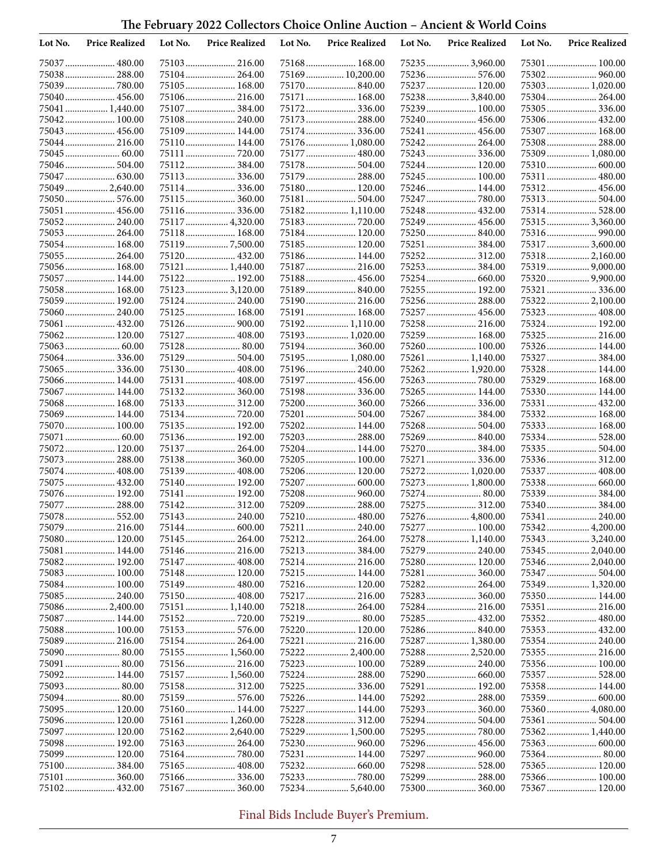| Lot No. | <b>Price Realized</b>         | Lot No. | <b>Price Realized</b>        | Lot No. | <b>Price Realized</b>           | Lot No. | <b>Price Realized</b>          | Lot No. | <b>Price Realized</b>         |
|---------|-------------------------------|---------|------------------------------|---------|---------------------------------|---------|--------------------------------|---------|-------------------------------|
|         | 75037  480.00                 |         |                              |         | 75168 168.00                    |         | 752353,960.00                  |         | 75301 100.00                  |
|         | 75038 288.00                  |         | 75104 264.00                 |         | 75169  10,200.00                |         | 75236 576.00                   |         | 75302 960.00                  |
|         | 75039  780.00                 |         | 75105 168.00                 |         | 75170 840.00                    |         | 75237  120.00                  |         | 75303 1,020.00                |
|         | 75040 456.00                  |         | 75106 216.00                 |         | 75171  168.00                   |         | 75238  3,840.00                |         | 75304 264.00                  |
|         | 75041  1,440.00               |         | 75107384.00                  |         |                                 |         | 75239 100.00                   |         |                               |
|         | 75042 100.00                  |         | 75108 240.00                 |         | 75173 288.00                    |         | 75240 456.00                   |         | 75306 432.00                  |
|         | 75043 456.00                  |         | 75109 144.00                 |         | 75174 336.00                    |         | 75241  456.00                  |         | 75307 168.00                  |
|         | 75044  216.00                 |         | 75110 144.00                 |         | 75176  1,080.00                 |         | 75242 264.00                   |         | 75308 288.00                  |
|         |                               |         | 75111  720.00                |         | 75177  480.00                   |         | 75243  336.00                  |         | 75309  1,080.00               |
|         | 75046  504.00                 |         | 75112 384.00                 |         | 75178 504.00                    |         | 75244  120.00                  |         | 75310 600.00                  |
|         |                               |         | 75113 336.00                 |         | 75179  288.00                   |         | 75245  100.00                  |         | 75311  480.00                 |
|         | 75049  2,640.00               |         | 75114336.00                  |         | 75180 120.00                    |         | 75246 144.00                   |         | 75312 456.00                  |
|         | 75050 576.00<br>75051  456.00 |         | 75115 360.00                 |         | 75181  504.00<br>75182 1,110.00 |         | 75247  780.00<br>75248 432.00  |         | 75313 504.00                  |
|         | 75052 240.00                  |         | 75117  4,320.00              |         |                                 |         |                                |         | 75315 3,360.00                |
|         | 75053  264.00                 |         | 75118 168.00                 |         | 75184 120.00                    |         |                                |         |                               |
|         | 75054 168.00                  |         | 751197,500.00                |         | 75185 120.00                    |         | 75251  384.00                  |         | 75317  3,600.00               |
|         | 75055  264.00                 |         | 75120 432.00                 |         | 75186 144.00                    |         |                                |         | 75318 2,160.00                |
|         | 75056 168.00                  |         | 75121  1,440.00              |         | 75187 216.00                    |         |                                |         |                               |
|         | 75057  144.00                 |         | 75122 192.00                 |         | 75188 456.00                    |         |                                |         |                               |
|         | 75058 168.00                  |         | 751233,120.00                |         | 75189 840.00                    |         | 75255  192.00                  |         | 75321  336.00                 |
|         | 75059  192.00                 |         | 75124 240.00                 |         | 75190 216.00                    |         | 75256  288.00                  |         | 75322 2,100.00                |
|         | 75060 240.00                  |         | 75125 168.00                 |         | 75191 168.00                    |         | 75257  456.00                  |         | 75323  408.00                 |
|         | 75061  432.00                 |         |                              |         | 75192 1,110.00                  |         | 75258 216.00                   |         | 75324 192.00                  |
|         | 75062 120.00                  |         | 75127 408.00                 |         | 75193 1,020.00                  |         | 75259  168.00                  |         | 75325  216.00                 |
|         |                               |         | 75128 80.00                  |         | 75194 360.00                    |         | 75260 100.00                   |         | 75326 144.00                  |
|         | 75064336.00                   |         | 75129 504.00                 |         | 75195 1,080.00                  |         | 75261  1,140.00                |         | 75327  384.00                 |
|         | 75065  336.00                 |         | 75130 408.00                 |         | 75196 240.00                    |         | 75262 1,920.00                 |         | 75328 144.00                  |
|         | 75066 144.00                  |         | 75131 408.00                 |         | 75197  456.00                   |         |                                |         | 75329  168.00                 |
|         | 75067  144.00                 |         | 75132 360.00                 |         | 75198 336.00                    |         | 75265 144.00                   |         | 75330 144.00                  |
|         | 75068 168.00                  |         | 75133 312.00                 |         | 75200 360.00                    |         |                                |         | 75331  432.00                 |
|         | 75069 144.00                  |         | 75134720.00                  |         | 75201  504.00                   |         | 75267  384.00                  |         | 75332 168.00                  |
|         | 75070 100.00                  |         | 75135 192.00                 |         | 75202 144.00                    |         |                                |         | 75333 168.00                  |
| 75071   | 75072 120.00                  |         | 75136 192.00                 |         | 75203 288.00                    |         | 75269  840.00<br>75270  384.00 |         | 75334 528.00                  |
|         | 75073  288.00                 |         | 75137 264.00<br>75138 360.00 |         | 75204 144.00<br>75205 100.00    |         | 75271  336.00                  |         | 75335 504.00<br>75336 312.00  |
|         | 75074  408.00                 |         | 75139 408.00                 |         | 75206 120.00                    |         | 75272 1,020.00                 |         | 75337  408.00                 |
|         | 75075  432.00                 |         | 75140 192.00                 |         | 75207  600.00                   |         | 75273  1,800.00                |         | 75338 660.00                  |
|         | 75076 192.00                  |         | 75141  192.00                |         | 75208  960.00                   |         | 75274 80.00                    |         | 75339 384.00                  |
|         | 75077  288.00                 |         | 75142 312.00                 |         | 75209  288.00                   |         | 75275  312.00                  |         | 75340 384.00                  |
|         | 75078 552.00                  |         | 75143 240.00                 |         | 75210 480.00                    |         | 75276  4,800.00                |         | 75341  240.00                 |
|         | 75079  216.00                 |         |                              |         | 75211  240.00                   |         | 75277  100.00                  |         |                               |
|         | 75080 120.00                  |         |                              |         | 75212 264.00                    |         | 75278  1,140.00                |         | 753433,240.00                 |
|         | 75081  144.00                 |         |                              |         |                                 |         |                                |         | 75345  2,040.00               |
|         | 75082 192.00                  |         |                              |         |                                 |         | 75280 120.00                   |         | 753462,040.00                 |
|         | 75083 100.00                  |         |                              |         | 75215 144.00                    |         |                                |         |                               |
|         | 75084 100.00                  |         |                              |         |                                 |         |                                |         | 75349  1,320.00               |
|         | 75085 240.00                  |         |                              |         |                                 |         | 75283 360.00                   |         | 75350 144.00                  |
|         | 750862,400.00                 |         | 75151 1,140.00               |         |                                 |         | 75284 216.00                   |         | 75351  216.00                 |
|         | 75087  144.00                 |         |                              |         |                                 |         |                                |         |                               |
|         | 75088 100.00                  |         |                              |         | 75220 120.00                    |         |                                |         |                               |
|         | 75089 216.00                  |         |                              |         | 75221  216.00                   |         | 75287  1,380.00                |         |                               |
|         | 75090 80.00                   |         | 75155 1,560.00               |         | 75222  2,400.00                 |         | 75288 2,520.00                 |         | 75355  216.00                 |
|         | 75091  80.00                  |         |                              |         | 75223  100.00                   |         | 75289 240.00                   |         | 75356 100.00                  |
|         | 75092 144.00                  |         | 75157 1,560.00               |         |                                 |         | 75290 660.00                   |         |                               |
|         | 75093  80.00                  |         |                              |         | 75226 144.00                    |         | 75291  192.00<br>75292 288.00  |         | 75358 144.00<br>75359  600.00 |
|         | 75095  120.00                 |         | 75160 144.00                 |         | 75227  144.00                   |         | 75293  360.00                  |         | 75360 4,080.00                |
|         | 75096 120.00                  |         | 75161 1,260.00               |         |                                 |         |                                |         |                               |
|         | 75097  120.00                 |         | 751622,640.00                |         | 75229  1,500.00                 |         |                                |         | 75362 1,440.00                |
|         | 75098 192.00                  |         |                              |         | 75230 960.00                    |         |                                |         |                               |
|         | 75099 120.00                  |         |                              |         | 75231  144.00                   |         | 75297  960.00                  |         |                               |
|         | 75100 384.00                  |         |                              |         |                                 |         | 75298 528.00                   |         | 75365 120.00                  |
|         | 75101  360.00                 |         |                              |         |                                 |         | 75299  288.00                  |         | 75366 100.00                  |
|         | 75102 432.00                  |         | 75167 360.00                 |         | 75234 5,640.00                  |         |                                |         | 75367 120.00                  |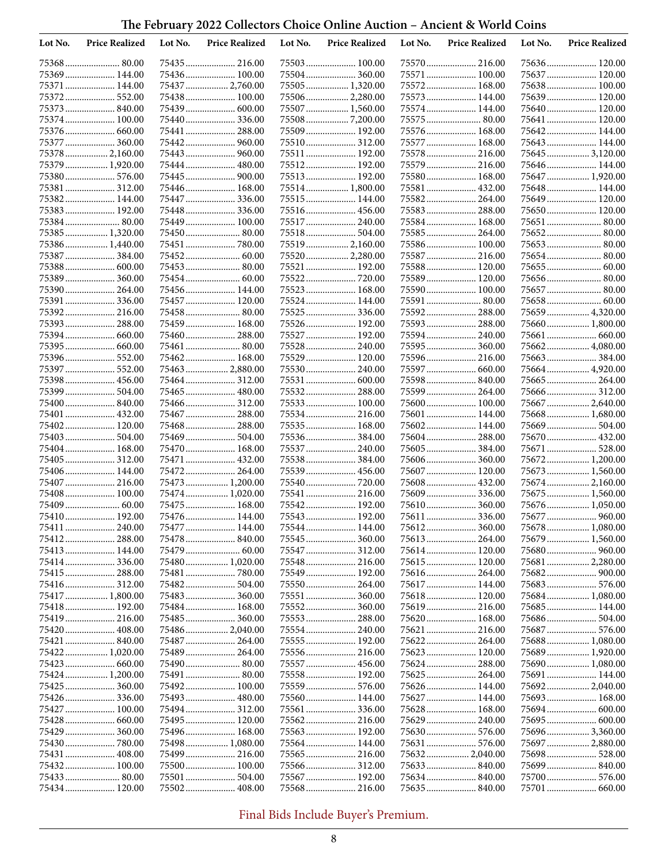| Lot No. | <b>Price Realized</b>        | Lot No. | <b>Price Realized</b>       | Lot No. | <b>Price Realized</b>         | Lot No. | <b>Price Realized</b>         | Lot No. | <b>Price Realized</b>           |
|---------|------------------------------|---------|-----------------------------|---------|-------------------------------|---------|-------------------------------|---------|---------------------------------|
|         | 75368 80.00                  |         |                             |         |                               |         |                               |         | 75636 120.00                    |
|         | 75369 144.00                 |         | 75436 100.00                |         | 75504 360.00                  |         | 75571  100.00                 |         | 75637  120.00                   |
|         | 75371  144.00                |         | 75437  2,760.00             |         | 75505 1,320.00                |         | 75572 168.00                  |         | 75638 100.00                    |
|         | 75372 552.00                 |         | 75438 100.00                |         | 75506 2,280.00                |         | 75573 144.00                  |         | 75639 120.00                    |
|         | 75373 840.00                 |         | 75439 600.00                |         | 75507  1,560.00               |         | 75574 144.00                  |         | 75640 120.00                    |
|         | 75374 100.00                 |         | 75440336.00                 |         |                               |         | 75575 80.00                   |         | 75641  120.00                   |
|         |                              |         | 75441  288.00               |         | 75509  192.00                 |         | 75576 168.00                  |         | 75642 144.00                    |
|         | 75377  360.00                |         |                             |         | 75510 312.00                  |         | 75577  168.00                 |         | 75643  144.00                   |
|         | 75378  2,160.00              |         |                             |         | 75511  192.00                 |         | 75578  216.00                 |         | 75645  3,120.00                 |
|         | 75379  1,920.00              |         | 75444  480.00               |         | 75512 192.00                  |         | 75579  216.00                 |         | 75646 144.00                    |
|         | 75380 576.00                 |         | 75445  900.00               |         | 75513 192.00                  |         | 75580 168.00                  |         | 75647  1,920.00                 |
|         | 75381  312.00                |         | 75446 168.00                |         | 75514 1,800.00                |         | 75581  432.00                 |         | 75648 144.00                    |
|         | 75382 144.00                 |         | 75447  336.00               |         | 75515 144.00                  |         | 75582 264.00                  |         | 75649  120.00                   |
|         | 75383 192.00<br>75384 80.00  |         | 75448336.00<br>75449 100.00 |         | 75516 456.00                  |         | 75583 288.00                  |         | 75650 120.00                    |
|         | 75385 1,320.00               |         | 75450 80.00                 |         | 75517  240.00<br>75518 504.00 |         | 75584  168.00<br>75585 264.00 |         | 75651  80.00<br>75652 80.00     |
|         | 75386 1,440.00               |         | 75451  780.00               |         | 75519  2,160.00               |         | 75586 100.00                  |         | 75653 80.00                     |
|         | 75387384.00                  |         |                             |         | 75520 2,280.00                |         | 75587  216.00                 |         |                                 |
|         | 75388 600.00                 |         |                             |         | 75521  192.00                 |         | 75588 120.00                  |         |                                 |
|         | 75389 360.00                 |         |                             |         | 75522 720.00                  |         | 75589 120.00                  |         | 75656 80.00                     |
|         | 75390 264.00                 |         | 75456 144.00                |         | 75523  168.00                 |         | 75590 100.00                  |         | 75657  80.00                    |
|         |                              |         | 75457 120.00                |         | 75524 144.00                  |         |                               |         |                                 |
|         | 75392 216.00                 |         |                             |         | 75525  336.00                 |         | 75592 288.00                  |         | 75659  4,320.00                 |
|         | 75393 288.00                 |         | 75459 168.00                |         | 75526 192.00                  |         | 75593  288.00                 |         | 75660  1,800.00                 |
|         |                              |         | 75460 288.00                |         | 75527  192.00                 |         |                               |         |                                 |
|         |                              |         | 75461  80.00                |         | 75528  240.00                 |         |                               |         | 75662 4,080.00                  |
|         | 75396 552.00                 |         | 75462 168.00                |         | 75529 120.00                  |         | 75596 216.00                  |         |                                 |
|         | 75397  552.00                |         | 75463  2,880.00             |         | 75530 240.00                  |         |                               |         | 75664  4,920.00                 |
|         | 75398 456.00                 |         |                             |         | 75531  600.00                 |         | 75598  840.00                 |         | 75665  264.00                   |
|         | 75399  504.00                |         | 75465 480.00                |         | 75532 288.00                  |         | 75599  264.00                 |         | 75666  312.00                   |
|         | 75400  840.00                |         | 75466 312.00                |         | 75533 100.00                  |         | 75600 100.00                  |         | 75667  2,640.00                 |
|         | 75401  432.00                |         | 75467  288.00               |         | 75534 216.00                  |         | 75601  144.00                 |         | 75668 1,680.00                  |
|         | 75402 120.00                 |         |                             |         | 75535 168.00                  |         | 75602 144.00                  |         |                                 |
|         |                              |         | 75469 504.00                |         | 75536 384.00                  |         |                               |         | 75670  432.00                   |
|         | 75404 168.00                 |         | 75470 168.00                |         | 75537  240.00                 |         | 75605  384.00                 |         | 75671  528.00                   |
|         | 75405  312.00                |         | 75471  432.00               |         | 75538 384.00                  |         | 75606 360.00                  |         | 75672 1,200.00                  |
|         | 75406 144.00                 |         | 75472 264.00                |         |                               |         | 75607 120.00                  |         | 75673  1,560.00                 |
|         | 75407  216.00                |         | 75473 1,200.00              |         | 75540  720.00                 |         | 75608 432.00                  |         | 75674  2,160.00                 |
|         | 75408 100.00                 |         | 75474 1,020.00              |         | 75541  216.00                 |         | 75609  336.00                 |         | 75675  1,560.00                 |
|         |                              |         | 75475 168.00                |         | 75542 192.00                  |         |                               |         | 75676 1,050.00                  |
|         | 75410 192.00                 |         | 75476 144.00                |         | 75543  192.00                 |         | 75611  336.00                 |         | 75677  960.00                   |
|         | 75411  240.00                |         | 75477  144.00               |         | 75544  144.00                 |         |                               |         | 75678  1,080.00                 |
|         | 75412 288.00                 |         | 75478 840.00                |         | 75545  360.00                 |         | 75613  264.00                 |         | 75679 1,560.00                  |
|         | 75413 144.00                 |         |                             |         |                               |         | 75614 120.00                  |         |                                 |
|         | 75414336.00                  |         | 75480 1,020.00              |         | 75548 216.00                  |         | 75615 120.00                  |         | 75681  2,280.00                 |
|         | 75415 288.00                 |         | 75481  780.00               |         | 75549 192.00                  |         |                               |         |                                 |
|         | 75416 312.00                 |         | 75482 504.00                |         | 75550 264.00                  |         | 75617 144.00                  |         |                                 |
|         | 75417  1,800.00              |         |                             |         |                               |         | 75618 120.00                  |         | 75684  1,080.00<br>75685 144.00 |
|         | 75418 192.00<br>75419 216.00 |         | 75484 168.00                |         |                               |         | 75620  168.00                 |         |                                 |
|         |                              |         | 75486 2,040.00              |         | 75554 240.00                  |         |                               |         |                                 |
|         | 75421  840.00                |         |                             |         | 75555  192.00                 |         |                               |         | 75688 1,080.00                  |
|         | 75422 1,020.00               |         |                             |         |                               |         | 75623  120.00                 |         | 75689  1,920.00                 |
|         |                              |         | 75490 80.00                 |         | 75557  456.00                 |         | 75624  288.00                 |         | 75690 1,080.00                  |
|         | 75424  1,200.00              |         | 75491  80.00                |         | 75558 192.00                  |         |                               |         | 75691  144.00                   |
|         | 75425  360.00                |         | 75492 100.00                |         | 75559  576.00                 |         | 75626 144.00                  |         | 75692 2,040.00                  |
|         | 75426336.00                  |         |                             |         | 75560 144.00                  |         | 75627  144.00                 |         | 75693  168.00                   |
|         | 75427  100.00                |         | 75494 312.00                |         | 75561  336.00                 |         | 75628 168.00                  |         |                                 |
|         |                              |         | 75495 120.00                |         |                               |         | 75629  240.00                 |         |                                 |
|         | 75429  360.00                |         | 75496 168.00                |         | 75563 192.00                  |         |                               |         | 75696 3,360.00                  |
|         |                              |         | 75498 1,080.00              |         | 75564  144.00                 |         |                               |         | 75697  2,880.00                 |
|         | 75431  408.00                |         | 75499 216.00                |         |                               |         |                               |         |                                 |
|         | 75432  100.00                |         | 75500 100.00                |         |                               |         |                               |         |                                 |
|         | 75433 80.00                  |         |                             |         | 75567  192.00                 |         |                               |         |                                 |
|         | 75434 120.00                 |         | 75502 408.00                |         |                               |         | 75635 840.00                  |         |                                 |